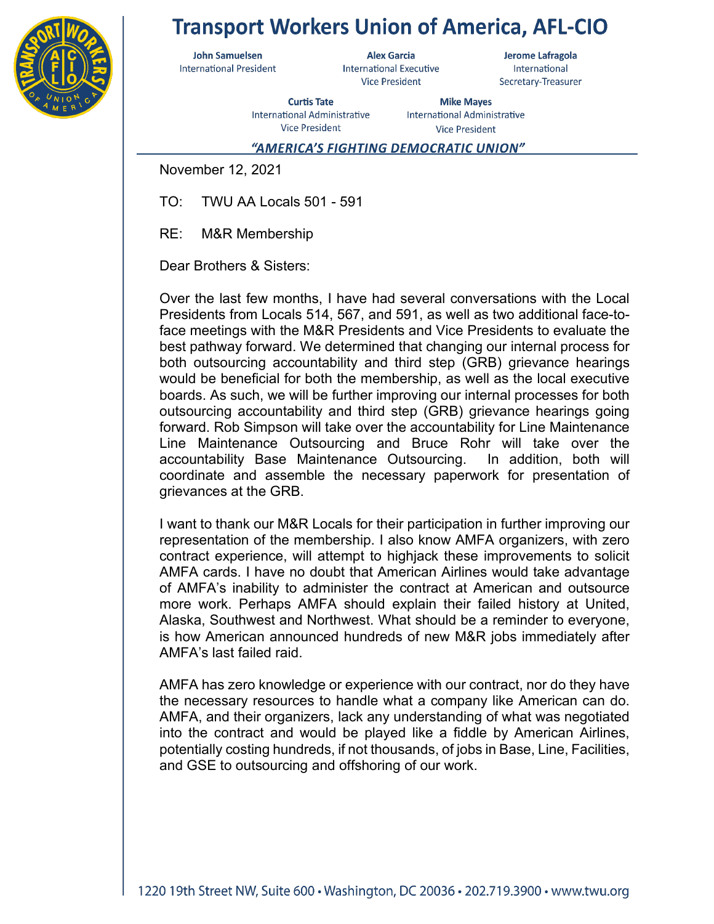

## **Transport Workers Union of America, AFL-CIO**

**John Samuelsen International President** 

**Alex Garcia International Executive Vice President** 

Jerome Lafragola International Secretary-Treasurer

**Curtis Tate** International Administrative **Vice President** 

**Mike Mayes** International Administrative **Vice President** 

## "AMERICA'S FIGHTING DEMOCRATIC UNION"

November 12, 2021

TO: TWU AA Locals 501 - 591

RE: M&R Membership

Dear Brothers & Sisters:

Over the last few months, I have had several conversations with the Local Presidents from Locals 514, 567, and 591, as well as two additional face-toface meetings with the M&R Presidents and Vice Presidents to evaluate the best pathway forward. We determined that changing our internal process for both outsourcing accountability and third step (GRB) grievance hearings would be beneficial for both the membership, as well as the local executive boards. As such, we will be further improving our internal processes for both outsourcing accountability and third step (GRB) grievance hearings going forward. Rob Simpson will take over the accountability for Line Maintenance Line Maintenance Outsourcing and Bruce Rohr will take over the accountability Base Maintenance Outsourcing. In addition, both will coordinate and assemble the necessary paperwork for presentation of grievances at the GRB.

I want to thank our M&R Locals for their participation in further improving our representation of the membership. I also know AMFA organizers, with zero contract experience, will attempt to highjack these improvements to solicit AMFA cards. I have no doubt that American Airlines would take advantage of AMFA's inability to administer the contract at American and outsource more work. Perhaps AMFA should explain their failed history at United, Alaska, Southwest and Northwest. What should be a reminder to everyone, is how American announced hundreds of new M&R jobs immediately after AMFA's last failed raid.

AMFA has zero knowledge or experience with our contract, nor do they have the necessary resources to handle what a company like American can do. AMFA, and their organizers, lack any understanding of what was negotiated into the contract and would be played like a fiddle by American Airlines, potentially costing hundreds, if not thousands, of jobs in Base, Line, Facilities, and GSE to outsourcing and offshoring of our work.